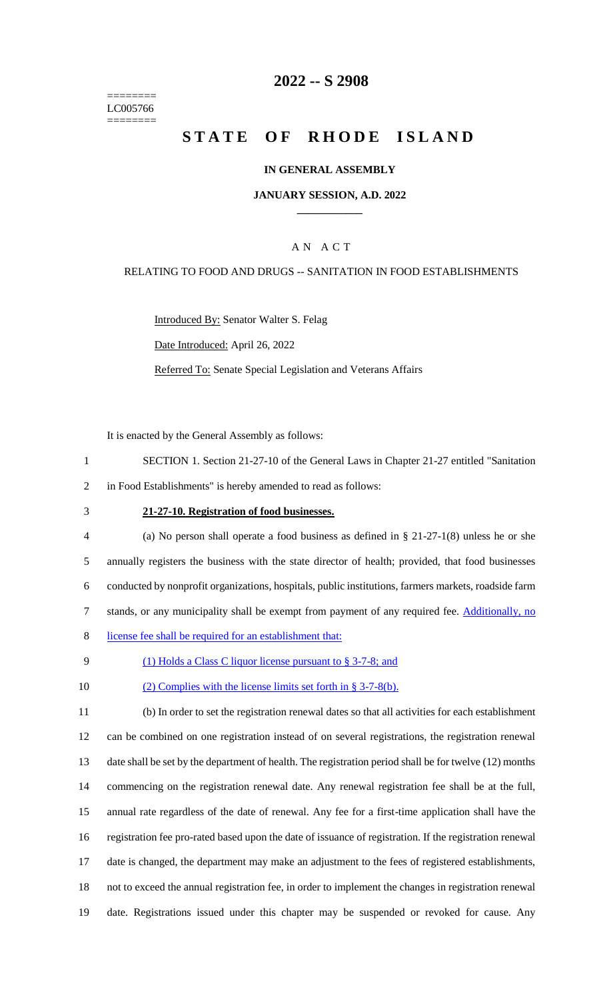======== LC005766 ========

# **2022 -- S 2908**

# **STATE OF RHODE ISLAND**

### **IN GENERAL ASSEMBLY**

### **JANUARY SESSION, A.D. 2022 \_\_\_\_\_\_\_\_\_\_\_\_**

## A N A C T

### RELATING TO FOOD AND DRUGS -- SANITATION IN FOOD ESTABLISHMENTS

Introduced By: Senator Walter S. Felag

Date Introduced: April 26, 2022

Referred To: Senate Special Legislation and Veterans Affairs

It is enacted by the General Assembly as follows:

- 1 SECTION 1. Section 21-27-10 of the General Laws in Chapter 21-27 entitled "Sanitation 2 in Food Establishments" is hereby amended to read as follows:
- 

#### 3 **21-27-10. Registration of food businesses.**

- 4 (a) No person shall operate a food business as defined in § 21-27-1(8) unless he or she 5 annually registers the business with the state director of health; provided, that food businesses 6 conducted by nonprofit organizations, hospitals, public institutions, farmers markets, roadside farm 7 stands, or any municipality shall be exempt from payment of any required fee. Additionally, no 8 license fee shall be required for an establishment that:
- 9 (1) Holds a Class C liquor license pursuant to § 3-7-8; and
- 10 (2) Complies with the license limits set forth in § 3-7-8(b).

 (b) In order to set the registration renewal dates so that all activities for each establishment can be combined on one registration instead of on several registrations, the registration renewal date shall be set by the department of health. The registration period shall be for twelve (12) months commencing on the registration renewal date. Any renewal registration fee shall be at the full, annual rate regardless of the date of renewal. Any fee for a first-time application shall have the registration fee pro-rated based upon the date of issuance of registration. If the registration renewal date is changed, the department may make an adjustment to the fees of registered establishments, not to exceed the annual registration fee, in order to implement the changes in registration renewal date. Registrations issued under this chapter may be suspended or revoked for cause. Any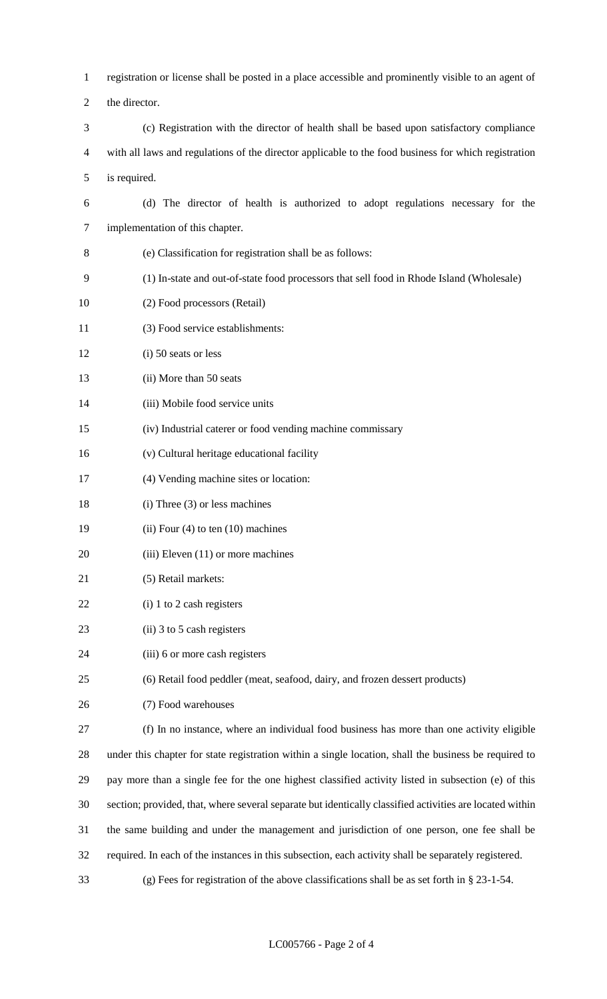registration or license shall be posted in a place accessible and prominently visible to an agent of the director. (c) Registration with the director of health shall be based upon satisfactory compliance with all laws and regulations of the director applicable to the food business for which registration is required. (d) The director of health is authorized to adopt regulations necessary for the implementation of this chapter. (e) Classification for registration shall be as follows: (1) In-state and out-of-state food processors that sell food in Rhode Island (Wholesale) (2) Food processors (Retail) (3) Food service establishments: (i) 50 seats or less 13 (ii) More than 50 seats (iii) Mobile food service units (iv) Industrial caterer or food vending machine commissary (v) Cultural heritage educational facility (4) Vending machine sites or location: (i) Three (3) or less machines 19 (ii) Four (4) to ten (10) machines 20 (iii) Eleven (11) or more machines (5) Retail markets: 22 (i) 1 to 2 cash registers 23 (ii) 3 to 5 cash registers (iii) 6 or more cash registers (6) Retail food peddler (meat, seafood, dairy, and frozen dessert products) (7) Food warehouses (f) In no instance, where an individual food business has more than one activity eligible under this chapter for state registration within a single location, shall the business be required to pay more than a single fee for the one highest classified activity listed in subsection (e) of this section; provided, that, where several separate but identically classified activities are located within the same building and under the management and jurisdiction of one person, one fee shall be required. In each of the instances in this subsection, each activity shall be separately registered.

(g) Fees for registration of the above classifications shall be as set forth in § 23-1-54.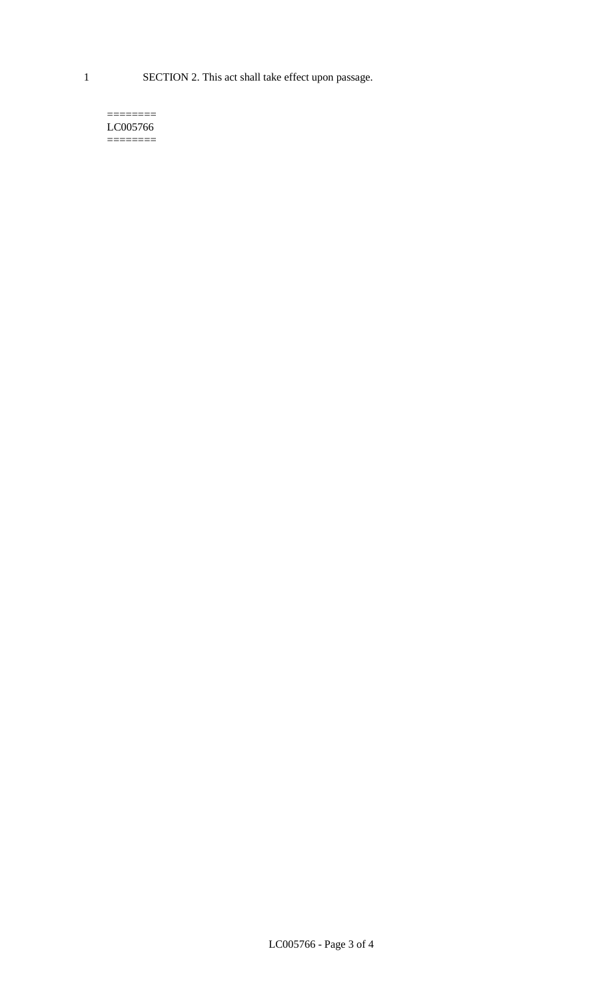1 SECTION 2. This act shall take effect upon passage.

 $=$ LC005766 ========